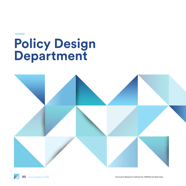# **Policy Design Department**

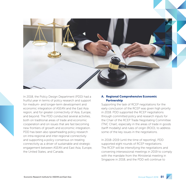

In 2018, the Policy Design Department (PDD) had a fruitful year in terms of policy research and support for medium- and longer-term development and economic integration of ASEAN and the East Asia region, and for greater connectivity of Asia, Europe, and beyond. The PDD conducted several activities, both on traditional areas of trade and economic cooperation and on issues that are fast becoming new frontiers of growth and economic integration. PDD has been also spearheading policy research on intra-regional and inter-regional connectivity and supporting a policy consensus on treating connectivity as a driver of sustainable and strategic engagement between ASEAN and East Asia, Europe, the United States, and Canada.

## A. Regional Comprehensive Economic Partnership

Supporting the task of RCEP negotiations for the early conclusion of the RCEP was given high priority in 2018. PDD supported the RCEP negotiations through committed policy and research inputs for the Chair of the RCEP Trade Negotiating Committee (TNC Chair), especially in the areas of trade in goods (tariff modality) and rules of origin (ROO), to address some of the key issues in the negotiations.

In 2018–2019 (until the time of reporting), PDD supported eight rounds of RCEP negotiations. The RCEP will be intensifying the negotiations and convening intersessional meetings in 2019 to comply with the mandate from the Ministerial meeting in Singapore in 2018, and the PDD will continue to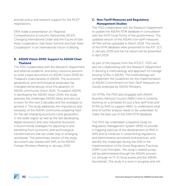provide policy and research support for the RCEP negotiations.

ERIA made a presentation on 'Regional Comprehensive Economic Partnership (RCEP), Changing International Order and the Future of East Asian cooperation, East Asian Summit and East Asian Cooperation' in an International Forum in Beijing.

### B. ASEAN Vision 2040: Support to ASEAN Chair Thailand

The PDD collaborated with the Research Department and external academic and policy resource persons to write a base document on ASEAN Vision 2040 for Thailand's chairmanship of ASEAN. The economic, geopolitical, and technological landscape has changed tremendously since the adoption of ASEAN community Vision 2025. To support ASEAN in developing the ASEAN Vision 2040, the study assesses the challenges ASEAN faces and sets out a vision for the next 2 decades and the strategies to achieve it. The study addresses the importance and necessity of the ASEAN community preparing itself for the fast changing economics and geopolitics in the wider region as well as the fast-developing digital revolution and new industrial revolution. It recommends strategies for adjusting to and benefiting from economic and technological transformations that are under way or emerging worldwide. The preliminary version of the study document was shared with AMS at the ASEAN Foreign Ministers Meeting in January 2019.

## C. Non-Tariff Measures and Regulatory Management Studies

The PDD collaborated with the Research Department to update the ASEAN NTM database in consultation with the NTM Focal Points of the governments. The updated version of the ASEAN non-tariff measures (NTMs) will be uploaded in March 2019. The results of the NTM database were presented to the ATF JCC in January 2019 and the full report will be presented in April 2019.

As part of the request from the ATFJCC, PDD will also be collaborating with the Research Department in devising a methodology and approach to manage existing NTMs in ASEAN. This methodology will complement the Guidelines for the Implementation of ASEAN Commitment on Non-Tariff Measures on Goods endorsed by ASEAN Ministers.

On NTMs, the PDD also engaged with ASEAN Business Advisory Council (ABAC) and is currently working on a template for just a few tariff lines and NTMs by AMS to support ABAC to understand what kind of further analysis needs to be undertaken to make the best use of the ERIA NTM database.

The PDD has undertaken a baseline Study on Regulatory Management System (RMS) to provide a mapping exercise of the development of RMS in AMS and its initiatives in streamlining regulations and administrative processes and practices, and identify the challenges facing the AMS in the implementation of the Good Regulatory Practices (GRP) Core Principles. The study's related survey will be administered through the ASEAN process (i.e. through HLTF–EI focal points and the ASEAN Secretariat). The study is a work in progress and will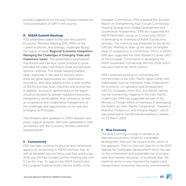provide suggestions for the way forward towards the institutionalisation of GRP in the country.

#### D. ASEAN Summit Meetings

PDD presented a paper to the East Asia Summit Economic Ministers Meeting (EAS EMM) on the current economic and strategic challenges facing the region, entitled 'Regional Economic Integration: Managing the Challenges of Emerging Trade and Investment Issues'. The presentation emphasised that ASEAN and East Asia could continue to grow provided the trade momentum holds and domestic reforms continue. This entails keeping markets open, especially in the area of services where there are great opportunities for collaboration, innovation, and value-adding across a wide swathe of ASEAN and East Asian industries and economies. In addition, economic performance in the region would be boosted by greater regulatory and policy transparency, predictability, and coherence, as well as cooperative and collaborative management of the challenges and opportunities of the new and emerging technologies.

The Ministers were updated on ERIA's research and policy support activities. ERIA also celebrated its 10th anniversary with the Economic Ministers and their representatives.

## E. Connectivity

PDD has been working on physical and institutional aspects of connectivity in ASEAN and East Asia, as well as between Asia and Africa, and Asia and Europe. 2018 was the Asia–Europe Summit meeting year with EU as the chair. To support the ASEM Summit and the European External Action Service (EEAS) of the

European Commission, ERIA prepared the 'Brussels Report on Strengthening Asia–Europe Connectivity: Drawing Synergy from Global Development and Governance Programmes.' ERIA also supported the ASEM Pathfinders Group on Connectivity (APGC) in developing an Inventory of ASEM Connectivity activities. The inventory was presented to the Senior Officials' Meeting to draw up the plans for tangible areas of cooperation in connectivity (TACC) in ASEM. ERIA also supported the Joint Research Center (JRC) of the European Commission in developing the ASEM Sustainable Connectivity Monitor 2018, which was launched at the ASEM Summit.

ERIA continued working on connecting the connectivities in the Indo–Pacific region jointly with stakeholders such as Indonesia, India, Organisation for Economic Co-operation and Development (OECD), European Union (EU), and ASEAN, setting out the connectivity mapping in the Indo–Pacific. In particular, ERIA has supported the task of the Ministry of Foreign Affairs of Indonesia in developing the Report on 'Indo–Pacific Cooperation: Towards a Peaceful, Prosperous, and Inclusive Region', which was presented to the Ministerial meeting in Jakarta on 20 March 2019.

## F. Blue Economy

The Blue Economy concept is viewed as an alternative economic model for sustainable development that puts the oceans at the centre of this approach. This is in line with Goal 14 of the 2030 Agenda for Sustainable Development which focuses on the conservation and sustainable use of oceans, seas, and marines resources. In Southeast Asia, the maritime sector is very important for logistics and transportation, economic resources, environmental

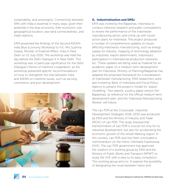sustainability, and sovereignty. Connectivity between AMS with India is essential in many ways, given their potential in the blue economy, their economic size, geographical location, sea–land connectedness, and trade relations.

ERIA presented the findings of the Second ASEAN– India Blue Economy Workshop to H.E. Mrs Sushma Swaraj, Minister of External Affairs, India in New Delhi on 22 July 2018. The workshop was held the day before the Delhi Dialogue X in New Delhi. This workshop was of particular significance for the Delhi Dialogue's theme of maritime cooperation, as the workshop presented specific recommendations on how to strengthen the links between India and ASEAN on maritime issues, such as security, commerce, and port development.



#### G. Industrialisation and SMEs

ERIA was invited by the Bappenas, Indonesia to conduct intensive research and public consultations to review the performance of the Indonesian manufacturing sector, and come up with future action plans for Indonesia. The project produced a number of comprehensive updates on issues affecting Indonesia's manufacturing, such as energy supply for industry, mapping of technology adoption by industries, export determinants, Indonesia's participation in international production networks, etc. These updates are being used as material for an academic paper on a medium-term development plan for Indonesia. Ministry of Planning/Bappenas has adapted the proposed framework for a revitalisation of Indonesian manufacturing. ERIA researchers were also invited by Bank of Indonesia and Fiscal Policy Agency to present the project's model for 'export modelling'. Two reports, a policy paper version (for Bappenas), as reference for the official medium-term development plan, and the 'Indonesia Manufacturing Review' will follow.

*The Lao PDR at the Crossroads: Industrial Development Strategies 2016−2030* was produced by ERIA and the Ministry of Industry and Trade (MOIC) of Lao PDR. The study stressed that transformation of Lao PDR is crucial not only for its industrial development, but also for accelerating the economic growth of the whole Mekong region. In this context, Lao PDR and Viet Nam concluded a memorandum on the Hanoi–Vientiane Expressway (HVE). The Lao PDR government has approved the creation of a working group by ERIA and the Ministry of Public Works and Transport (MPWT) to study the HVE with a view to its early completion. This working group aims to: (i) explore the possibility of designating the route between Hanoi and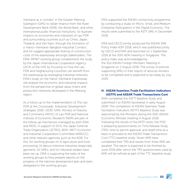Vientiane as a 'corridor' in the Greater Mekong Subregion (GMS) to obtain finance from the Asian Development Bank (ADB), the World Bank, and other international public financial institutions; (ii) illustrate impacts on economies and industries of Lao PDR and surrounding countries such as China, Japan, Thailand, and Viet Nam, through the formation of a 'Hanoi−Vientiane−Bangkok Industrial Corridor'; and (iii) suggest appropriate sharing of construction costs of the expressway amongst stakeholders. The ERIA–MPWT working group complements the study by the Japan International Cooperation Agency (JICA) of the HVE by focusing on how the Lao PDR and neighbouring countries can benefit from the expressway by leveraging industrial networks. ERIA's study on the Hanoi–Vientiane Expressway will analyse the economic and industrial impacts from the perspective of global value chains and production networks developed in the Mekong region.

As a follow up to the implementation of *The Lao PDR at the Crossroads: Industrial Development Strategies 2016*—*2030*, ERIA, Ministry of Industry and Commerce (MOIC) of Lao PDR and National Institute of Economic Research (NERI) are part of the follow-up mechanism managed by both ERIA and MOIC in support of JICA, the Japan External Trade Organization (JETRO), AEM—METI Economic and Industrial Cooperation Committee (AMEICC), and other relevant agencies such as the ADB. For this, for working groups on (i) agriculture and food processing, (ii) labour-intensive industries (especially garment), (iii) SMEs, and (iv) industrial estates have been set up. ERIA is supporting the tasks of the working groups as they prepare reports on the progress of the national development plan and tasks delegated to the working groups.

ERIA supported the ASEAN connectivity programme by conducting a study on Micro, Small, and Medium Enterprise Participation in the Digital Economy. The results were submitted to the ASTF SME in December 2018.

ERIA and OECD jointly produced the ASEAN SME Policy Index ASPI 2018, which was published jointly by OECD and ERIA and launched on 1 September 2018 at the 50th AEM meeting in Singapore. The policy index was acknowledged by the 51st ASEAN Foreign Ministers' Meeting in Singapore on 2 August 2018. The survey of policies supporting SMEs in their export of services remains to be completed and is expected to be ready by July 2019.

## H. ASEAN Seamless Trade Facilitation Indicators (ASTFI) and ASEAN Trade Transactions Cost

ERIA completed the ASFTI Baseline Study and submitted it to ASEAN Secretariat in early August 2018. The completion of ASEAN Seamless Trade Facilitation Indicators (ASTFI) Baseline Study was welcomed by the Ministers during the 50th ASEAN Economic Minister meeting in August 2018. Following the results of the ASTFI work, the PDD is preparing questionnaires on Time Release Study (TRS), time to permit approval, and dwell time as a basis to proceed to the ASEAN Trade Transactions Cost (TTC) baseline study. Seven AMS have completed their TRS and results from three AMS are awaited. The report is expected to be finished by June 2019 after which the TRS questionnaire used by AMS will be refined as part of the TTC baseline study.

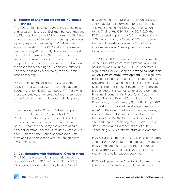## I. Support of EAS Members and their Dialogue **Partners**

The PDD of ERIA has been supporting several policy and research initiatives of EAS member countries and the Dialogue Partners of EAS. In this regard, ERIA was requested by the ASEAN–Russia meeting to develop a policy paper on deepening of ASEAN–Russia economic relations. The PDD and Russia Foreign Trade Academy (RFTA) jointly developed the report for the ASEAN–Russia SEOM meeting. The report suggests several avenues of trade and economic cooperation between the two partners, and lays out the scope for deepening their economic relations. The report has been accepted by the economic officials meeting.

PDD completed the research to establish the feasibility of a Canada–ASEAN FTA and Eurasian Economic Union (EAEU)–Cambodia FTA. Following these two studies, other prospective partners such as the EU have shown an interest in similar policy research.

ERIA is working with MOFA of Vietnam on policy research on 'Enhancing Productivity of Domestic Private Firms – Boosting Linkages and Digitalization'. This research aims to analyse the current status of the Vietnamese economy and recommend a conceptual framework for future development with a focus on the performance of domestic private firms and their connection with the foreign direct investment sector.

#### J. Collaboration with Multilateral Organisations

The PDD has worked with and contributed to the proceedings of the G20 in Buenos Aires in 2018. ERIA's contribution to the policy brief on 'World

of Work in the 4th Industrial Revolution: Inclusive and Structural Transformation for a Better Africa' was mentioned in the T20's recommendation to the Chair of the G20. For the 2019 G20, the PDD is preparing policy briefs for the chair of the G20 through two task forces of T20 on the subtheme of Industrialization and ICT in Africa and *Industrialization and Employment Led Growth in Digital Economy*.

The PDD of ERIA was invited to the annual meeting of the Asian Infrastructure Investment Bank (AIIB), held in Mumbai in June 2018. ERIA moderated a high-level panel workshop on 'Advancing Together: ASEAN Infrastructure Development'. The high-level panel consisted of Mr. Carlos Dominguez, Secretary, Department of Finance, Philippines; Mr. Heng Swee Keat, Minister of Finance, Singapore; Mr. Bambang Brodjonegoro, Minister of National Development Planning, Indonesia; Ms. Preeti Saran, Secretary (East), Ministry of External Affairs, India; and Mr. Kevan Watts, Vice Chairman, Global Banking, HSBC. The workshop discussed the strategic directions of ASEAN in the new global environment; (ii) strategic and vital infrastructure required to advance the fast growth of ASEAN; (iii) a possible approach and roadmap for advancing ASEAN infrastructure development; and (iv) expectations of AIIB concerning ASEAN's infrastructure development.

PDD has also supported the OECD in its preparatory work for the G20 in Trade and Agriculture matters. PDD contributed to the OECD reports through findings from ASEAN and East Asia, and ERIA's research and policy support activities.

PDD participated in the Asia–Pacific Forum organised jointly by the Japan Economic Foundation and